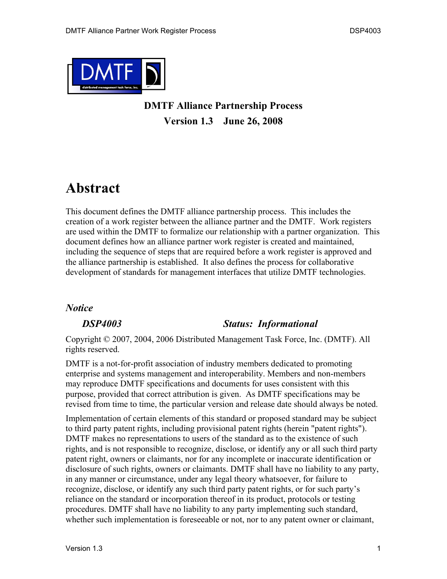

### **DMTF Alliance Partnership Process Version 1.3 June 26, 2008**

### **Abstract**

This document defines the DMTF alliance partnership process. This includes the creation of a work register between the alliance partner and the DMTF. Work registers are used within the DMTF to formalize our relationship with a partner organization. This document defines how an alliance partner work register is created and maintained, including the sequence of steps that are required before a work register is approved and the alliance partnership is established. It also defines the process for collaborative development of standards for management interfaces that utilize DMTF technologies.

#### *Notice*

#### *DSP4003 Status: Informational*

Copyright © 2007, 2004, 2006 Distributed Management Task Force, Inc. (DMTF). All rights reserved.

DMTF is a not-for-profit association of industry members dedicated to promoting enterprise and systems management and interoperability. Members and non-members may reproduce DMTF specifications and documents for uses consistent with this purpose, provided that correct attribution is given. As DMTF specifications may be revised from time to time, the particular version and release date should always be noted.

Implementation of certain elements of this standard or proposed standard may be subject to third party patent rights, including provisional patent rights (herein "patent rights"). DMTF makes no representations to users of the standard as to the existence of such rights, and is not responsible to recognize, disclose, or identify any or all such third party patent right, owners or claimants, nor for any incomplete or inaccurate identification or disclosure of such rights, owners or claimants. DMTF shall have no liability to any party, in any manner or circumstance, under any legal theory whatsoever, for failure to recognize, disclose, or identify any such third party patent rights, or for such party's reliance on the standard or incorporation thereof in its product, protocols or testing procedures. DMTF shall have no liability to any party implementing such standard, whether such implementation is foreseeable or not, nor to any patent owner or claimant,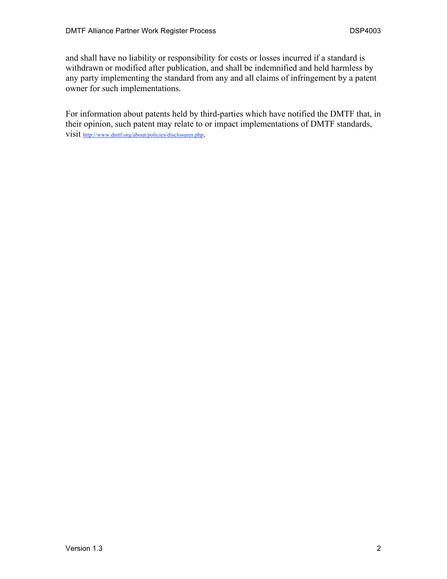and shall have no liability or responsibility for costs or losses incurred if a standard is withdrawn or modified after publication, and shall be indemnified and held harmless by any party implementing the standard from any and all claims of infringement by a patent owner for such implementations.

For information about patents held by third-parties which have notified the DMTF that, in their opinion, such patent may relate to or impact implementations of DMTF standards, visit http://www.dmtf.org/about/policies/disclosures.php.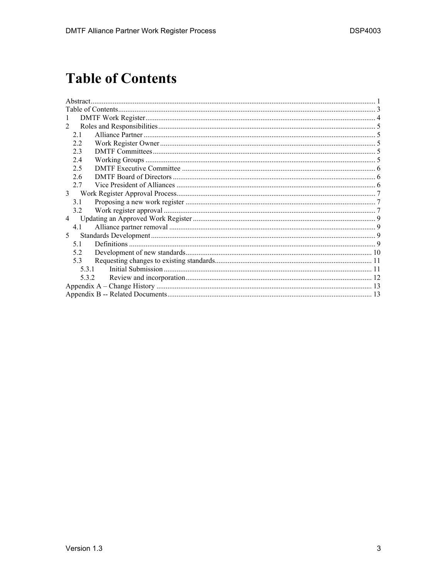# **Table of Contents**

| 1              |  |  |  |  |  |
|----------------|--|--|--|--|--|
| 2              |  |  |  |  |  |
| 21             |  |  |  |  |  |
| 2.2            |  |  |  |  |  |
| 2.3            |  |  |  |  |  |
| 2.4            |  |  |  |  |  |
| 2.5            |  |  |  |  |  |
| 2.6            |  |  |  |  |  |
| 2.7            |  |  |  |  |  |
| $\mathfrak{Z}$ |  |  |  |  |  |
| 3.1            |  |  |  |  |  |
| 3.2            |  |  |  |  |  |
| $\overline{4}$ |  |  |  |  |  |
| 4.1            |  |  |  |  |  |
| 5.             |  |  |  |  |  |
| 5.1            |  |  |  |  |  |
| 5.2            |  |  |  |  |  |
| 5.3            |  |  |  |  |  |
| 5.3.1          |  |  |  |  |  |
| 5.3.2          |  |  |  |  |  |
|                |  |  |  |  |  |
|                |  |  |  |  |  |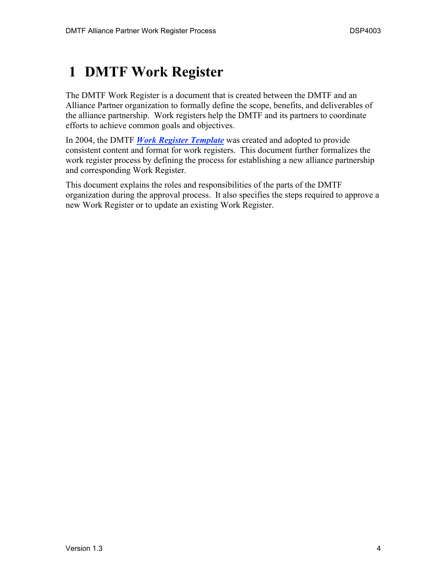# **1 DMTF Work Register**

The DMTF Work Register is a document that is created between the DMTF and an Alliance Partner organization to formally define the scope, benefits, and deliverables of the alliance partnership. Work registers help the DMTF and its partners to coordinate efforts to achieve common goals and objectives.

In 2004, the DMTF *Work Register Template* was created and adopted to provide consistent content and format for work registers. This document further formalizes the work register process by defining the process for establishing a new alliance partnership and corresponding Work Register.

This document explains the roles and responsibilities of the parts of the DMTF organization during the approval process. It also specifies the steps required to approve a new Work Register or to update an existing Work Register.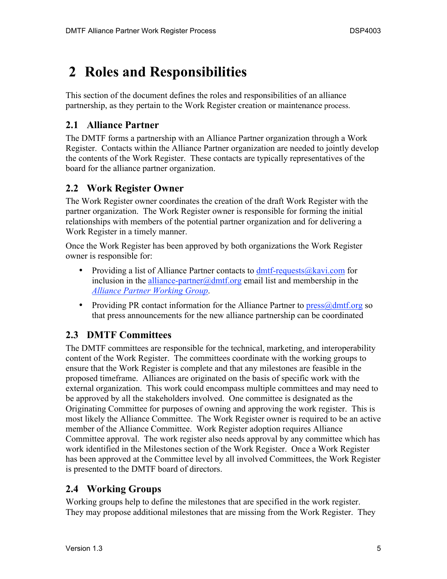# **2 Roles and Responsibilities**

This section of the document defines the roles and responsibilities of an alliance partnership, as they pertain to the Work Register creation or maintenance process.

#### **2.1 Alliance Partner**

The DMTF forms a partnership with an Alliance Partner organization through a Work Register. Contacts within the Alliance Partner organization are needed to jointly develop the contents of the Work Register. These contacts are typically representatives of the board for the alliance partner organization.

### **2.2 Work Register Owner**

The Work Register owner coordinates the creation of the draft Work Register with the partner organization. The Work Register owner is responsible for forming the initial relationships with members of the potential partner organization and for delivering a Work Register in a timely manner.

Once the Work Register has been approved by both organizations the Work Register owner is responsible for:

- Providing a list of Alliance Partner contacts to  $dmtf$ -requests $@kavi.com$  for inclusion in the alliance-partner@dmtf.org email list and membership in the *Alliance Partner Working Group*.
- Providing PR contact information for the Alliance Partner to  $press@dmtf.org$  so that press announcements for the new alliance partnership can be coordinated

### **2.3 DMTF Committees**

The DMTF committees are responsible for the technical, marketing, and interoperability content of the Work Register. The committees coordinate with the working groups to ensure that the Work Register is complete and that any milestones are feasible in the proposed timeframe. Alliances are originated on the basis of specific work with the external organization. This work could encompass multiple committees and may need to be approved by all the stakeholders involved. One committee is designated as the Originating Committee for purposes of owning and approving the work register. This is most likely the Alliance Committee. The Work Register owner is required to be an active member of the Alliance Committee. Work Register adoption requires Alliance Committee approval. The work register also needs approval by any committee which has work identified in the Milestones section of the Work Register. Once a Work Register has been approved at the Committee level by all involved Committees, the Work Register is presented to the DMTF board of directors.

#### **2.4 Working Groups**

Working groups help to define the milestones that are specified in the work register. They may propose additional milestones that are missing from the Work Register. They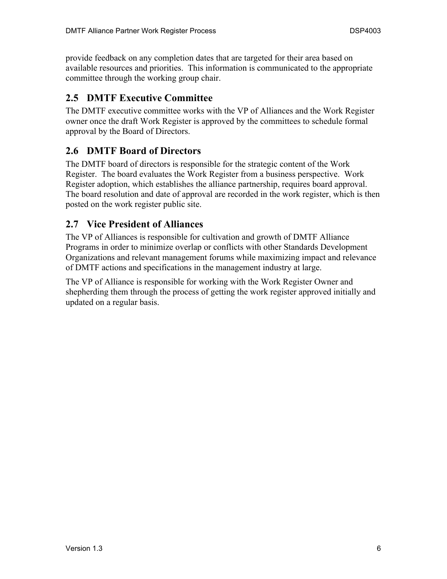provide feedback on any completion dates that are targeted for their area based on available resources and priorities. This information is communicated to the appropriate committee through the working group chair.

### **2.5 DMTF Executive Committee**

The DMTF executive committee works with the VP of Alliances and the Work Register owner once the draft Work Register is approved by the committees to schedule formal approval by the Board of Directors.

#### **2.6 DMTF Board of Directors**

The DMTF board of directors is responsible for the strategic content of the Work Register. The board evaluates the Work Register from a business perspective. Work Register adoption, which establishes the alliance partnership, requires board approval. The board resolution and date of approval are recorded in the work register, which is then posted on the work register public site.

#### **2.7 Vice President of Alliances**

The VP of Alliances is responsible for cultivation and growth of DMTF Alliance Programs in order to minimize overlap or conflicts with other Standards Development Organizations and relevant management forums while maximizing impact and relevance of DMTF actions and specifications in the management industry at large.

The VP of Alliance is responsible for working with the Work Register Owner and shepherding them through the process of getting the work register approved initially and updated on a regular basis.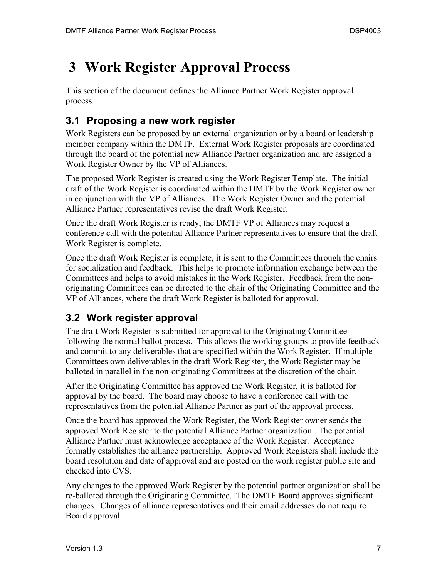### **3 Work Register Approval Process**

This section of the document defines the Alliance Partner Work Register approval process.

### **3.1 Proposing a new work register**

Work Registers can be proposed by an external organization or by a board or leadership member company within the DMTF. External Work Register proposals are coordinated through the board of the potential new Alliance Partner organization and are assigned a Work Register Owner by the VP of Alliances.

The proposed Work Register is created using the Work Register Template. The initial draft of the Work Register is coordinated within the DMTF by the Work Register owner in conjunction with the VP of Alliances. The Work Register Owner and the potential Alliance Partner representatives revise the draft Work Register.

Once the draft Work Register is ready, the DMTF VP of Alliances may request a conference call with the potential Alliance Partner representatives to ensure that the draft Work Register is complete.

Once the draft Work Register is complete, it is sent to the Committees through the chairs for socialization and feedback. This helps to promote information exchange between the Committees and helps to avoid mistakes in the Work Register. Feedback from the nonoriginating Committees can be directed to the chair of the Originating Committee and the VP of Alliances, where the draft Work Register is balloted for approval.

### **3.2 Work register approval**

The draft Work Register is submitted for approval to the Originating Committee following the normal ballot process. This allows the working groups to provide feedback and commit to any deliverables that are specified within the Work Register. If multiple Committees own deliverables in the draft Work Register, the Work Register may be balloted in parallel in the non-originating Committees at the discretion of the chair.

After the Originating Committee has approved the Work Register, it is balloted for approval by the board. The board may choose to have a conference call with the representatives from the potential Alliance Partner as part of the approval process.

Once the board has approved the Work Register, the Work Register owner sends the approved Work Register to the potential Alliance Partner organization. The potential Alliance Partner must acknowledge acceptance of the Work Register. Acceptance formally establishes the alliance partnership. Approved Work Registers shall include the board resolution and date of approval and are posted on the work register public site and checked into CVS.

Any changes to the approved Work Register by the potential partner organization shall be re-balloted through the Originating Committee. The DMTF Board approves significant changes. Changes of alliance representatives and their email addresses do not require Board approval.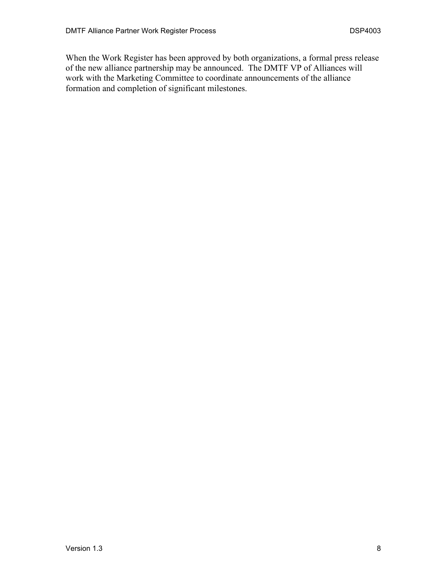When the Work Register has been approved by both organizations, a formal press release of the new alliance partnership may be announced. The DMTF VP of Alliances will work with the Marketing Committee to coordinate announcements of the alliance formation and completion of significant milestones.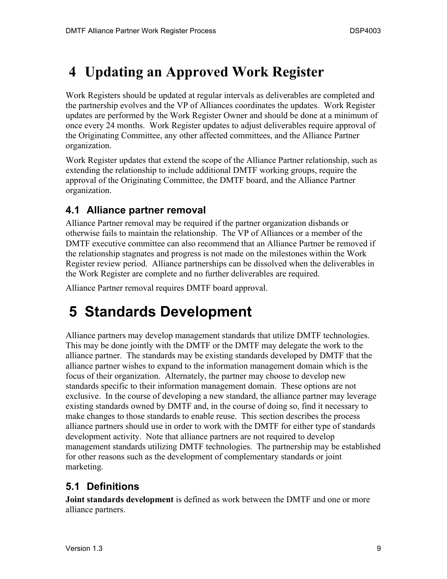# **4 Updating an Approved Work Register**

Work Registers should be updated at regular intervals as deliverables are completed and the partnership evolves and the VP of Alliances coordinates the updates. Work Register updates are performed by the Work Register Owner and should be done at a minimum of once every 24 months. Work Register updates to adjust deliverables require approval of the Originating Committee, any other affected committees, and the Alliance Partner organization.

Work Register updates that extend the scope of the Alliance Partner relationship, such as extending the relationship to include additional DMTF working groups, require the approval of the Originating Committee, the DMTF board, and the Alliance Partner organization.

### **4.1 Alliance partner removal**

Alliance Partner removal may be required if the partner organization disbands or otherwise fails to maintain the relationship. The VP of Alliances or a member of the DMTF executive committee can also recommend that an Alliance Partner be removed if the relationship stagnates and progress is not made on the milestones within the Work Register review period. Alliance partnerships can be dissolved when the deliverables in the Work Register are complete and no further deliverables are required.

Alliance Partner removal requires DMTF board approval.

# **5 Standards Development**

Alliance partners may develop management standards that utilize DMTF technologies. This may be done jointly with the DMTF or the DMTF may delegate the work to the alliance partner. The standards may be existing standards developed by DMTF that the alliance partner wishes to expand to the information management domain which is the focus of their organization. Alternately, the partner may choose to develop new standards specific to their information management domain. These options are not exclusive. In the course of developing a new standard, the alliance partner may leverage existing standards owned by DMTF and, in the course of doing so, find it necessary to make changes to those standards to enable reuse. This section describes the process alliance partners should use in order to work with the DMTF for either type of standards development activity. Note that alliance partners are not required to develop management standards utilizing DMTF technologies. The partnership may be established for other reasons such as the development of complementary standards or joint marketing.

### **5.1 Definitions**

**Joint standards development** is defined as work between the DMTF and one or more alliance partners.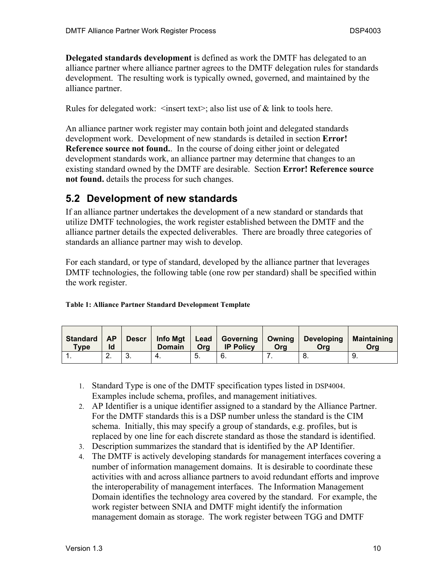**Delegated standards development** is defined as work the DMTF has delegated to an alliance partner where alliance partner agrees to the DMTF delegation rules for standards development. The resulting work is typically owned, governed, and maintained by the alliance partner.

Rules for delegated work:  $\langle$  insert text $\rangle$ ; also list use of  $\&$  link to tools here.

An alliance partner work register may contain both joint and delegated standards development work. Development of new standards is detailed in section **Error! Reference source not found.** In the course of doing either joint or delegated development standards work, an alliance partner may determine that changes to an existing standard owned by the DMTF are desirable. Section **Error! Reference source not found.** details the process for such changes.

### **5.2 Development of new standards**

If an alliance partner undertakes the development of a new standard or standards that utilize DMTF technologies, the work register established between the DMTF and the alliance partner details the expected deliverables. There are broadly three categories of standards an alliance partner may wish to develop.

For each standard, or type of standard, developed by the alliance partner that leverages DMTF technologies, the following table (one row per standard) shall be specified within the work register.

| <b>Table 1: Alliance Partner Standard Development Template</b> |  |
|----------------------------------------------------------------|--|
|----------------------------------------------------------------|--|

| <b>Standard</b><br>Type | AP<br>ld |     | <b>Domain</b> | Ora | <b>IP Policy</b> | Ora | Descr   Info Mgt   Lead   Governing   Owning   Developing<br>Ora | <b>Maintaining</b><br>Ora |
|-------------------------|----------|-----|---------------|-----|------------------|-----|------------------------------------------------------------------|---------------------------|
|                         | <u>.</u> | . ب |               | 5.  | Ο.               |     |                                                                  |                           |

- 1. Standard Type is one of the DMTF specification types listed in DSP4004. Examples include schema, profiles, and management initiatives.
- 2. AP Identifier is a unique identifier assigned to a standard by the Alliance Partner. For the DMTF standards this is a DSP number unless the standard is the CIM schema. Initially, this may specify a group of standards, e.g. profiles, but is replaced by one line for each discrete standard as those the standard is identified.
- 3. Description summarizes the standard that is identified by the AP Identifier.
- 4. The DMTF is actively developing standards for management interfaces covering a number of information management domains. It is desirable to coordinate these activities with and across alliance partners to avoid redundant efforts and improve the interoperability of management interfaces. The Information Management Domain identifies the technology area covered by the standard. For example, the work register between SNIA and DMTF might identify the information management domain as storage. The work register between TGG and DMTF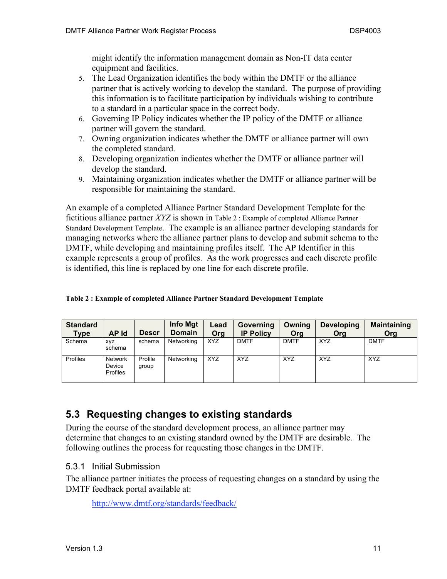might identify the information management domain as Non-IT data center equipment and facilities.

- 5. The Lead Organization identifies the body within the DMTF or the alliance partner that is actively working to develop the standard. The purpose of providing this information is to facilitate participation by individuals wishing to contribute to a standard in a particular space in the correct body.
- 6. Governing IP Policy indicates whether the IP policy of the DMTF or alliance partner will govern the standard.
- 7. Owning organization indicates whether the DMTF or alliance partner will own the completed standard.
- 8. Developing organization indicates whether the DMTF or alliance partner will develop the standard.
- 9. Maintaining organization indicates whether the DMTF or alliance partner will be responsible for maintaining the standard.

An example of a completed Alliance Partner Standard Development Template for the fictitious alliance partner *XYZ* is shown in Table 2 : Example of completed Alliance Partner Standard Development Template. The example is an alliance partner developing standards for managing networks where the alliance partner plans to develop and submit schema to the DMTF, while developing and maintaining profiles itself. The AP Identifier in this example represents a group of profiles. As the work progresses and each discrete profile is identified, this line is replaced by one line for each discrete profile.

|  |  |  |  |  |  |  | Table 2: Example of completed Alliance Partner Standard Development Template |  |
|--|--|--|--|--|--|--|------------------------------------------------------------------------------|--|
|--|--|--|--|--|--|--|------------------------------------------------------------------------------|--|

| <b>Standard</b><br><b>Type</b> | AP Id                                       | <b>Descr</b>     | Info Mgt<br><b>Domain</b> | Lead<br>Ora | Governing<br><b>IP Policy</b> | Owning<br>Org | <b>Developing</b><br>Org | <b>Maintaining</b><br>Org |
|--------------------------------|---------------------------------------------|------------------|---------------------------|-------------|-------------------------------|---------------|--------------------------|---------------------------|
| Schema                         | xyz_<br>schema                              | schema           | Networking                | <b>XYZ</b>  | <b>DMTF</b>                   | <b>DMTF</b>   | <b>XYZ</b>               | <b>DMTF</b>               |
| Profiles                       | <b>Network</b><br><b>Device</b><br>Profiles | Profile<br>group | Networking                | <b>XYZ</b>  | <b>XYZ</b>                    | <b>XYZ</b>    | <b>XYZ</b>               | <b>XYZ</b>                |

### **5.3 Requesting changes to existing standards**

During the course of the standard development process, an alliance partner may determine that changes to an existing standard owned by the DMTF are desirable. The following outlines the process for requesting those changes in the DMTF.

#### 5.3.1 Initial Submission

The alliance partner initiates the process of requesting changes on a standard by using the DMTF feedback portal available at:

http://www.dmtf.org/standards/feedback/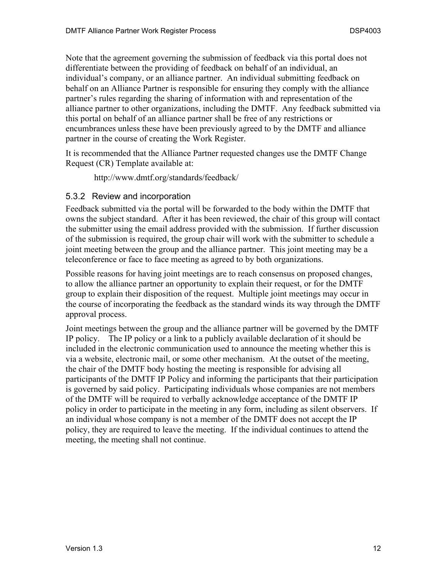Note that the agreement governing the submission of feedback via this portal does not differentiate between the providing of feedback on behalf of an individual, an individual's company, or an alliance partner. An individual submitting feedback on behalf on an Alliance Partner is responsible for ensuring they comply with the alliance partner's rules regarding the sharing of information with and representation of the alliance partner to other organizations, including the DMTF. Any feedback submitted via this portal on behalf of an alliance partner shall be free of any restrictions or encumbrances unless these have been previously agreed to by the DMTF and alliance partner in the course of creating the Work Register.

It is recommended that the Alliance Partner requested changes use the DMTF Change Request (CR) Template available at:

http://www.dmtf.org/standards/feedback/

#### 5.3.2 Review and incorporation

Feedback submitted via the portal will be forwarded to the body within the DMTF that owns the subject standard. After it has been reviewed, the chair of this group will contact the submitter using the email address provided with the submission. If further discussion of the submission is required, the group chair will work with the submitter to schedule a joint meeting between the group and the alliance partner. This joint meeting may be a teleconference or face to face meeting as agreed to by both organizations.

Possible reasons for having joint meetings are to reach consensus on proposed changes, to allow the alliance partner an opportunity to explain their request, or for the DMTF group to explain their disposition of the request. Multiple joint meetings may occur in the course of incorporating the feedback as the standard winds its way through the DMTF approval process.

Joint meetings between the group and the alliance partner will be governed by the DMTF IP policy. The IP policy or a link to a publicly available declaration of it should be included in the electronic communication used to announce the meeting whether this is via a website, electronic mail, or some other mechanism. At the outset of the meeting, the chair of the DMTF body hosting the meeting is responsible for advising all participants of the DMTF IP Policy and informing the participants that their participation is governed by said policy. Participating individuals whose companies are not members of the DMTF will be required to verbally acknowledge acceptance of the DMTF IP policy in order to participate in the meeting in any form, including as silent observers. If an individual whose company is not a member of the DMTF does not accept the IP policy, they are required to leave the meeting. If the individual continues to attend the meeting, the meeting shall not continue.